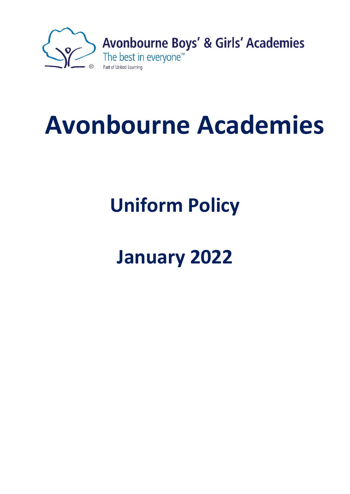

# **Avonbourne Academies**

# **Uniform Policy**

# **January 2022**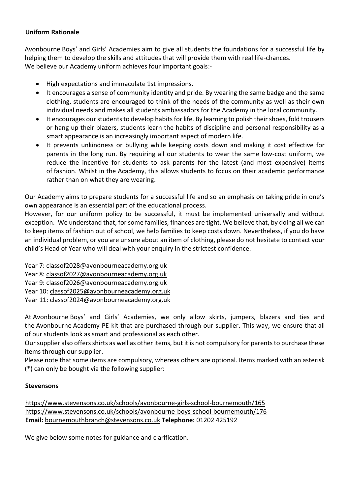# **Uniform Rationale**

Avonbourne Boys' and Girls' Academies aim to give all students the foundations for a successful life by helping them to develop the skills and attitudes that will provide them with real life-chances. We believe our Academy uniform achieves four important goals:-

- High expectations and immaculate 1st impressions.
- It encourages a sense of community identity and pride. By wearing the same badge and the same clothing, students are encouraged to think of the needs of the community as well as their own individual needs and makes all students ambassadors for the Academy in the local community.
- It encourages our students to develop habits for life. By learning to polish their shoes, fold trousers or hang up their blazers, students learn the habits of discipline and personal responsibility as a smart appearance is an increasingly important aspect of modern life.
- It prevents unkindness or bullying while keeping costs down and making it cost effective for parents in the long run. By requiring all our students to wear the same low-cost uniform, we reduce the incentive for students to ask parents for the latest (and most expensive) items of fashion. Whilst in the Academy, this allows students to focus on their academic performance rather than on what they are wearing.

Our Academy aims to prepare students for a successful life and so an emphasis on taking pride in one's own appearance is an essential part of the educational process.

However, for our uniform policy to be successful, it must be implemented universally and without exception. We understand that, for some families, finances are tight. We believe that, by doing all we can to keep items of fashion out of school, we help families to keep costs down. Nevertheless, if you do have an individual problem, or you are unsure about an item of clothing, please do not hesitate to contact your child's Head of Year who will deal with your enquiry in the strictest confidence.

Year 7: classof2028@avonbourneacademy.org.uk

Year 8: classof2027@avonbourneacademy.org.uk

Year 9: classof2026@avonbourneacademy.org.uk

Year 10: classof2025@avonbourneacademy.org.uk

Year 11: classof2024@avonbourneacademy.org.uk

At Avonbourne Boys' and Girls' Academies, we only allow skirts, jumpers, blazers and ties and the Avonbourne Academy PE kit that are purchased through our supplier. This way, we ensure that all of our students look as smart and professional as each other.

Our supplier also offers shirts as well as other items, but it is not compulsory for parents to purchase these items through our supplier.

Please note that some items are compulsory, whereas others are optional. Items marked with an asterisk (\*) can only be bought via the following supplier:

# **Stevensons**

<https://www.stevensons.co.uk/schools/avonbourne-girls-school-bournemouth/165> <https://www.stevensons.co.uk/schools/avonbourne-boys-school-bournemouth/176> **Email:** bournemouthbranch@stevensons.co.uk **Telephone:** 01202 425192

We give below some notes for guidance and clarification.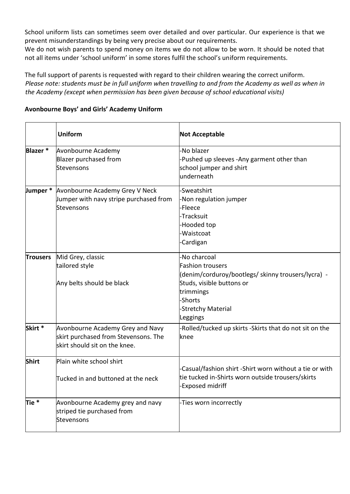School uniform lists can sometimes seem over detailed and over particular. Our experience is that we prevent misunderstandings by being very precise about our requirements.

We do not wish parents to spend money on items we do not allow to be worn. It should be noted that not all items under 'school uniform' in some stores fulfil the school's uniform requirements.

The full support of parents is requested with regard to their children wearing the correct uniform. *Please note: students must be in full uniform when travelling to and from the Academy as well as when in the Academy (except when permission has been given because of school educational visits)*

# **Avonbourne Boys' and Girls' Academy Uniform**

|                  | <b>Uniform</b>                                                                                            | <b>Not Acceptable</b>                                                                                                                                                                |  |
|------------------|-----------------------------------------------------------------------------------------------------------|--------------------------------------------------------------------------------------------------------------------------------------------------------------------------------------|--|
| Blazer *         | Avonbourne Academy<br>Blazer purchased from<br>Stevensons                                                 | -No blazer<br>Pushed up sleeves - Any garment other than<br>school jumper and shirt<br>underneath                                                                                    |  |
| Jumper *         | Avonbourne Academy Grey V Neck<br>Jumper with navy stripe purchased from<br>Stevensons                    | -Sweatshirt<br>Non regulation jumper<br>-Fleece<br>-Tracksuit<br>Hooded top<br><b>Waistcoat</b><br><b>Cardigan</b>                                                                   |  |
| <b>Trousers</b>  | Mid Grey, classic<br>tailored style<br>Any belts should be black                                          | -No charcoal<br><b>Fashion trousers</b><br>(denim/corduroy/bootlegs/ skinny trousers/lycra) -<br>Studs, visible buttons or<br>trimmings<br>-Shorts<br>-Stretchy Material<br>Leggings |  |
| Skirt *          | Avonbourne Academy Grey and Navy<br>skirt purchased from Stevensons. The<br>skirt should sit on the knee. | Rolled/tucked up skirts -Skirts that do not sit on the<br>knee                                                                                                                       |  |
| <b>Shirt</b>     | Plain white school shirt<br>Tucked in and buttoned at the neck                                            | Casual/fashion shirt -Shirt worn without a tie or with<br>tie tucked in-Shirts worn outside trousers/skirts<br>-Exposed midriff                                                      |  |
| Tie <sup>*</sup> | Avonbourne Academy grey and navy<br>striped tie purchased from<br>Stevensons                              | -Ties worn incorrectly                                                                                                                                                               |  |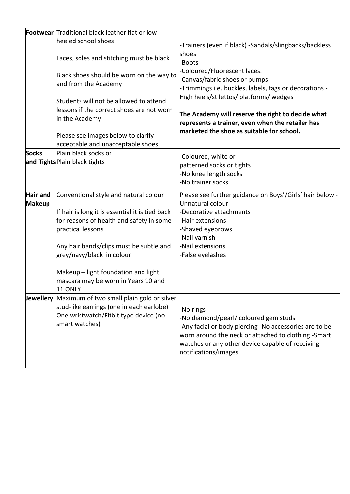|                                  | <b>Footwear</b> Traditional black leather flat or low<br>heeled school shoes                                                                                                                                                                                                                                               |                                                                                                                                                                                                                                                 |
|----------------------------------|----------------------------------------------------------------------------------------------------------------------------------------------------------------------------------------------------------------------------------------------------------------------------------------------------------------------------|-------------------------------------------------------------------------------------------------------------------------------------------------------------------------------------------------------------------------------------------------|
|                                  |                                                                                                                                                                                                                                                                                                                            | -Trainers (even if black) -Sandals/slingbacks/backless                                                                                                                                                                                          |
|                                  | Laces, soles and stitching must be black                                                                                                                                                                                                                                                                                   | shoes<br>-Boots                                                                                                                                                                                                                                 |
|                                  | Black shoes should be worn on the way to<br>and from the Academy                                                                                                                                                                                                                                                           | -Coloured/Fluorescent laces.<br>-Canvas/fabric shoes or pumps<br>-Trimmings i.e. buckles, labels, tags or decorations -                                                                                                                         |
|                                  | Students will not be allowed to attend<br>lessons if the correct shoes are not worn<br>in the Academy                                                                                                                                                                                                                      | High heels/stilettos/ platforms/ wedges<br>The Academy will reserve the right to decide what<br>represents a trainer, even when the retailer has                                                                                                |
|                                  | Please see images below to clarify<br>acceptable and unacceptable shoes.                                                                                                                                                                                                                                                   | marketed the shoe as suitable for school.                                                                                                                                                                                                       |
| <b>Socks</b>                     | Plain black socks or<br>and Tights Plain black tights                                                                                                                                                                                                                                                                      | Coloured, white or<br>patterned socks or tights<br>-No knee length socks<br>No trainer socks                                                                                                                                                    |
| <b>Hair and</b><br><b>Makeup</b> | Conventional style and natural colour<br>If hair is long it is essential it is tied back<br>for reasons of health and safety in some<br>practical lessons<br>Any hair bands/clips must be subtle and<br>grey/navy/black in colour<br>Makeup - light foundation and light<br>mascara may be worn in Years 10 and<br>11 ONLY | Please see further guidance on Boys'/Girls' hair below -<br>Unnatural colour<br>-Decorative attachments<br>-Hair extensions<br>-Shaved eyebrows<br>-Nail varnish<br>-Nail extensions<br>-False eyelashes                                        |
|                                  | Jewellery Maximum of two small plain gold or silver<br>stud-like earrings (one in each earlobe)<br>One wristwatch/Fitbit type device (no<br>smart watches)                                                                                                                                                                 | -No rings<br>-No diamond/pearl/ coloured gem studs<br>-Any facial or body piercing -No accessories are to be<br>worn around the neck or attached to clothing -Smart<br>watches or any other device capable of receiving<br>notifications/images |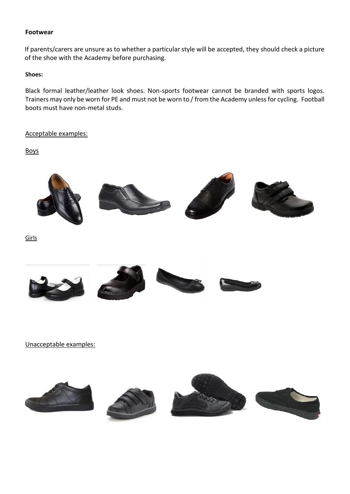#### **Footwear**

If parents/carers are unsure as to whether a particular style will be accepted, they should check a picture of the shoe with the Academy before purchasing.

#### **Shoes:**

Black formal leather/leather look shoes. Non-sports footwear cannot be branded with sports logos. Trainers may only be worn for PE and must not be worn to / from the Academy unless for cycling. Football boots must have non-metal studs.

#### Acceptable examples:

Boys





Unacceptable examples:

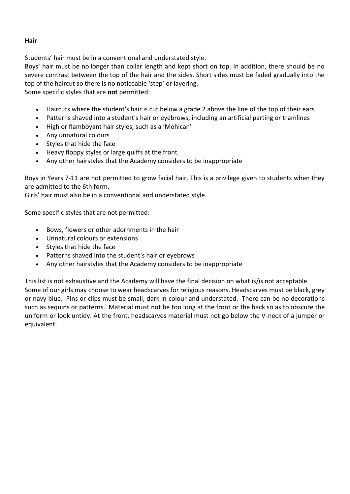#### **Hair**

Students' hair must be in a conventional and understated style.

Boys' hair must be no longer than collar length and kept short on top. In addition, there should be no severe contrast between the top of the hair and the sides. Short sides must be faded gradually into the top of the haircut so there is no noticeable 'step' or layering.

Some specific styles that are **not** permitted:

- Haircuts where the student's hair is cut below a grade 2 above the line of the top of their ears
- Patterns shaved into a student's hair or eyebrows, including an artificial parting or tramlines
- High or flamboyant hair styles, such as a 'Mohican'
- Any unnatural colours
- Styles that hide the face
- Heavy floppy styles or large quiffs at the front
- Any other hairstyles that the Academy considers to be inappropriate

Boys in Years 7-11 are not permitted to grow facial hair. This is a privilege given to students when they are admitted to the 6th form.

Girls' hair must also be in a conventional and understated style.

Some specific styles that are not permitted:

- Bows, flowers or other adornments in the hair
- Unnatural colours or extensions
- Styles that hide the face
- Patterns shaved into the student's hair or eyebrows
- Any other hairstyles that the Academy considers to be inappropriate

This list is not exhaustive and the Academy will have the final decision on what is/is not acceptable. Some of our girls may choose to wear headscarves for religious reasons. Headscarves must be black, grey or navy blue. Pins or clips must be small, dark in colour and understated. There can be no decorations such as sequins or patterns. Material must not be too long at the front or the back so as to obscure the uniform or look untidy. At the front, headscarves material must not go below the V-neck of a jumper or equivalent.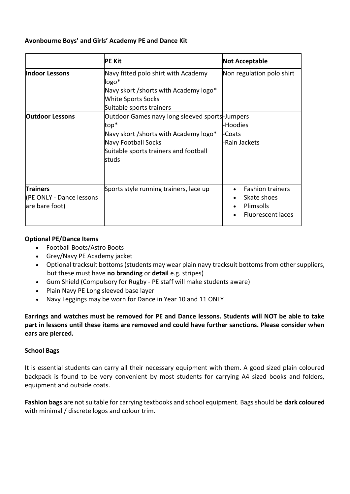### **Avonbourne Boys' and Girls' Academy PE and Dance Kit**

|                                                               | <b>PE Kit</b>                                                                                                                                                                    | <b>Not Acceptable</b>                                                           |
|---------------------------------------------------------------|----------------------------------------------------------------------------------------------------------------------------------------------------------------------------------|---------------------------------------------------------------------------------|
| <b>Indoor Lessons</b>                                         | Navy fitted polo shirt with Academy<br>logo*<br>Navy skort / shorts with Academy logo*<br><b>White Sports Socks</b><br>Suitable sports trainers                                  | Non regulation polo shirt                                                       |
| <b>Outdoor Lessons</b>                                        | Outdoor Games navy long sleeved sports-Jumpers<br>top*<br>Navy skort / shorts with Academy logo*<br><b>Navy Football Socks</b><br>Suitable sports trainers and football<br>studs | -Hoodies<br>-Coats<br>-Rain Jackets                                             |
| <b>Trainers</b><br>(PE ONLY - Dance lessons<br>are bare foot) | Sports style running trainers, lace up                                                                                                                                           | <b>Fashion trainers</b><br>Skate shoes<br>Plimsolls<br><b>Fluorescent laces</b> |

# **Optional PE/Dance Items**

- Football Boots/Astro Boots
- Grey/Navy PE Academy jacket
- Optional tracksuit bottoms (students may wear plain navy tracksuit bottoms from other suppliers, but these must have **no branding** or **detail** e.g. stripes)
- Gum Shield (Compulsory for Rugby PE staff will make students aware)
- Plain Navy PE Long sleeved base layer
- Navy Leggings may be worn for Dance in Year 10 and 11 ONLY

**Earrings and watches must be removed for PE and Dance lessons. Students will NOT be able to take part in lessons until these items are removed and could have further sanctions. Please consider when ears are pierced.**

# **School Bags**

It is essential students can carry all their necessary equipment with them. A good sized plain coloured backpack is found to be very convenient by most students for carrying A4 sized books and folders, equipment and outside coats.

**Fashion bags** are not suitable for carrying textbooks and school equipment. Bags should be **dark coloured** with minimal / discrete logos and colour trim.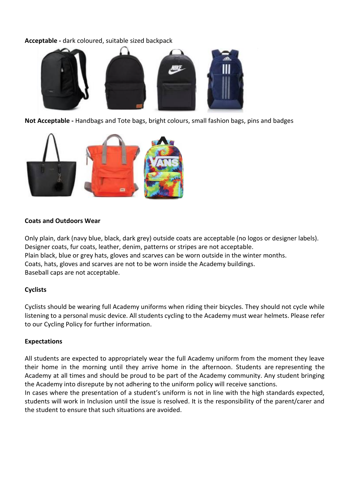**Acceptable -** dark coloured, suitable sized backpack



**Not Acceptable -** Handbags and Tote bags, bright colours, small fashion bags, pins and badges



#### **Coats and Outdoors Wear**

Only plain, dark (navy blue, black, dark grey) outside coats are acceptable (no logos or designer labels). Designer coats, fur coats, leather, denim, patterns or stripes are not acceptable. Plain black, blue or grey hats, gloves and scarves can be worn outside in the winter months. Coats, hats, gloves and scarves are not to be worn inside the Academy buildings. Baseball caps are not acceptable.

#### **Cyclists**

Cyclists should be wearing full Academy uniforms when riding their bicycles. They should not cycle while listening to a personal music device. All students cycling to the Academy must wear helmets. Please refer to our Cycling Policy for further information.

#### **Expectations**

All students are expected to appropriately wear the full Academy uniform from the moment they leave their home in the morning until they arrive home in the afternoon. Students are representing the Academy at all times and should be proud to be part of the Academy community. Any student bringing the Academy into disrepute by not adhering to the uniform policy will receive sanctions.

In cases where the presentation of a student's uniform is not in line with the high standards expected, students will work in Inclusion until the issue is resolved. It is the responsibility of the parent/carer and the student to ensure that such situations are avoided.